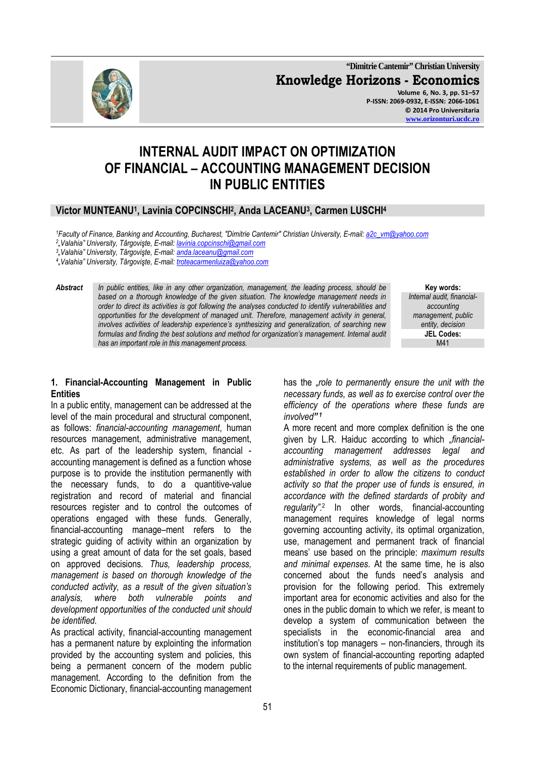**"Dimitrie Cantemir" Christian University Knowledge Horizons - Economics Volume 6, No. 3, pp. 51–57 P-ISSN: 2069-0932, E-ISSN: 2066-1061 © 2014 Pro Universitaria www.orizonturi.ucdc.ro**

# **INTERNAL AUDIT IMPACT ON OPTIMIZATION OF FINANCIAL – ACCOUNTING MANAGEMENT DECISION IN PUBLIC ENTITIES**

# **Victor MUNTEANU<sup>1</sup> , Lavinia COPCINSCHI<sup>2</sup> , Anda LACEANU<sup>3</sup> , Carmen LUSCHI<sup>4</sup>**

*<sup>1</sup>Faculty of Finance, Banking and Accounting, Bucharest, "Dimitrie Cantemir" Christian University, E-mail: a2c\_vm@yahoo.com*

*2 "Valahia" University, Târgovişte, E-mail: lavinia.copcinschi@gmail.com*

*3 "Valahia" University, Târgovişte, E-mail: anda.laceanu@gmail.com*

*4 "Valahia" University, Târgovişte, E-mail: troteacarmenluiza@yahoo.com*

*Abstract In public entities, like in any other organization, management, the leading process, should be based on a thorough knowledge of the given situation. The knowledge management needs in order to direct its activities is got following the analyses conducted to identify vulnerabilities and opportunities for the development of managed unit. Therefore, management activity in general, involves activities of leadership experience's synthesizing and generalization, of searching new formulas and finding the best solutions and method for organization's management. Internal audit*  has an important role in this management process.

**Key words:**  *Internal audit, financialaccounting management, public entity, decision* **JEL Codes:**

# **1. Financial-Accounting Management in Public Entities**

In a public entity, management can be addressed at the level of the main procedural and structural component, as follows: *financial-accounting management*, human resources management, administrative management, etc. As part of the leadership system, financial accounting management is defined as a function whose purpose is to provide the institution permanently with the necessary funds, to do a quantitive-value registration and record of material and financial resources register and to control the outcomes of operations engaged with these funds. Generally, financial-accounting manage–ment refers to the strategic guiding of activity within an organization by using a great amount of data for the set goals, based on approved decisions. *Thus, leadership process, management is based on thorough knowledge of the conducted activity, as a result of the given situation's analysis, where both vulnerable points and development opportunities of the conducted unit should be identified.*

As practical activity, financial-accounting management has a permanent nature by explointing the information provided by the accounting system and policies, this being a permanent concern of the modern public management. According to the definition from the Economic Dictionary, financial-accounting management

has the "*role to permanently ensure the unit with the necessary funds, as well as to exercise control over the efficiency of the operations where these funds are involved" 1*

A more recent and more complex definition is the one given by L.R. Haiduc according to which "*financialaccounting management addresses legal and administrative systems, as well as the procedures established in order to allow the citizens to conduct activity so that the proper use of funds is ensured, in accordance with the defined stardards of probity and regularity".*<sup>2</sup> In other words, financial-accounting management requires knowledge of legal norms governing accounting activity, its optimal organization, use, management and permanent track of financial means' use based on the principle: *maximum results and minimal expenses*. At the same time, he is also concerned about the funds need's analysis and provision for the following period. This extremely important area for economic activities and also for the ones in the public domain to which we refer, is meant to develop a system of communication between the specialists in the economic-financial area and institution's top managers – non-financiers, through its own system of financial-accounting reporting adapted to the internal requirements of public management.

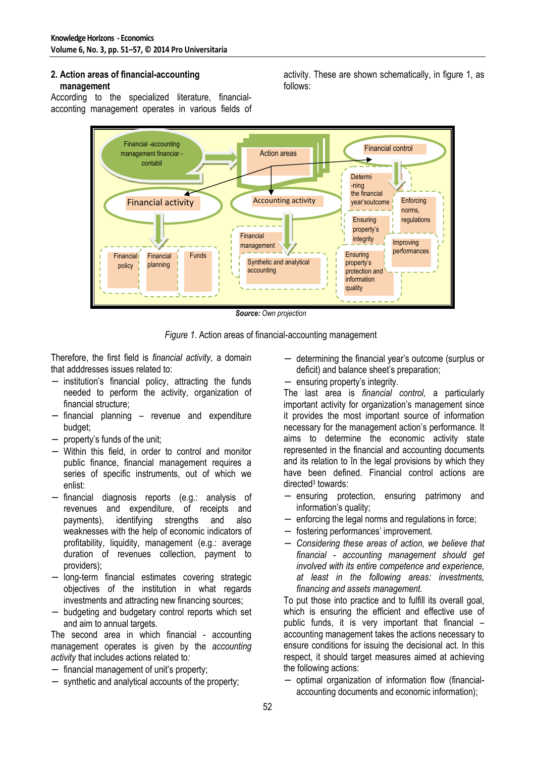#### **2. Action areas of financial-accounting management**

According to the specialized literature, financialacconting management operates in various fields of activity. These are shown schematically, in figure 1, as follows:



*Source: Own projection* 

*Figure 1.* Action areas of financial-accounting management

Therefore, the first field is *financial activity,* a domain that adddresses issues related to:

- − institution's financial policy, attracting the funds needed to perform the activity, organization of financial structure;
- − financial planning revenue and expenditure budget;
- − property's funds of the unit;
- − Within this field, in order to control and monitor public finance, financial management requires a series of specific instruments, out of which we enlist:
- − financial diagnosis reports (e.g.: analysis of revenues and expenditure, of receipts and payments), identifying strengths and also weaknesses with the help of economic indicators of profitability, liquidity, management (e.g.: average duration of revenues collection, payment to providers);
- − long-term financial estimates covering strategic objectives of the institution in what regards investments and attracting new financing sources;
- − budgeting and budgetary control reports which set and aim to annual targets.

The second area in which financial - accounting management operates is given by the *accounting activity* that includes actions related to*:* 

- − financial management of unit's property;
- − synthetic and analytical accounts of the property;
- − determining the financial year's outcome (surplus or deficit) and balance sheet's preparation;
- ensuring property's integrity.

The last area is *financial control,* a particularly important activity for organization's management since it provides the most important source of information necessary for the management action's performance. It aims to determine the economic activity state represented in the financial and accounting documents and its relation to în the legal provisions by which they have been defined. Financial control actions are directed<sup>3</sup> towards:

- − ensuring protection, ensuring patrimony and information's quality;
- enforcing the legal norms and regulations in force;
- − fostering performances' improvement.
- − *Considering these areas of action, we believe that financial - accounting management should get involved with its entire competence and experience, at least in the following areas: investments, financing and assets management.*

To put those into practice and to fulfill its overall goal, which is ensuring the efficient and effective use of public funds, it is very important that financial – accounting management takes the actions necessary to ensure conditions for issuing the decisional act. In this respect, it should target measures aimed at achieving the following actions:

− optimal organization of information flow (financialaccounting documents and economic information);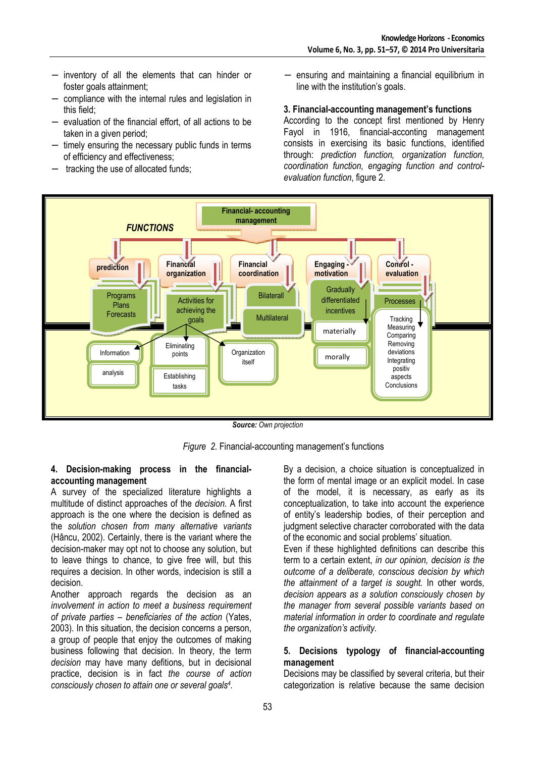- − inventory of all the elements that can hinder or foster goals attainment;
- − compliance with the internal rules and legislation in this field;
- − evaluation of the financial effort, of all actions to be taken in a given period;
- − timely ensuring the necessary public funds in terms of efficiency and effectiveness;
- − tracking the use of allocated funds;

ensuring and maintaining a financial equilibrium in line with the institution's goals.

### **3. Financial-accounting management's functions**

According to the concept first mentioned by Henry Fayol in 1916, financial-acconting management consists in exercising its basic functions, identified through: *prediction function, organization function, coordination function, engaging function and controlevaluation function*, figure 2.



*Source: Own projection* 

*Figure 2.* Financial-accounting management's functions

#### **4. Decision-making process in the financialaccounting management**

A survey of the specialized literature highlights a multitude of distinct approaches of the *decision.* A first approach is the one where the decision is defined as the *solution chosen from many alternative variants*  (Hâncu, 2002). Certainly, there is the variant where the decision-maker may opt not to choose any solution, but to leave things to chance, to give free will, but this requires a decision. In other words, indecision is still a decision.

Another approach regards the decision as an *involvement in action to meet a business requirement of private parties – beneficiaries of the action* (Yates, 2003). In this situation, the decision concerns a person, a group of people that enjoy the outcomes of making business following that decision. In theory, the term *decision* may have many defitions, but in decisional practice, decision is in fact *the course of action consciously chosen to attain one or several goals<sup>4</sup> .*

By a decision, a choice situation is conceptualized in the form of mental image or an explicit model. In case of the model, it is necessary, as early as its conceptualization, to take into account the experience of entity's leadership bodies, of their perception and judgment selective character corroborated with the data of the economic and social problems' situation.

Even if these highlighted definitions can describe this term to a certain extent, *in our opinion, decision is the outcome of a deliberate, conscious decision by which the attainment of a target is sought.* In other words, *decision appears as a solution consciously chosen by the manager from several possible variants based on material information in order to coordinate and regulate the organization's activity.*

### **5. Decisions typology of financial-accounting management**

Decisions may be classified by several criteria, but their categorization is relative because the same decision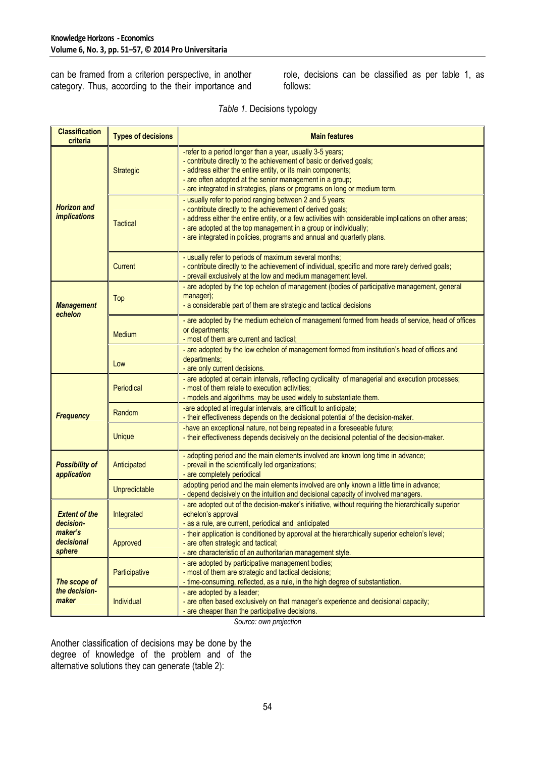can be framed from a criterion perspective, in another category. Thus, according to the their importance and role, decisions can be classified as per table 1, as follows:

| <b>Classification</b><br>criteria                                    | <b>Types of decisions</b> | <b>Main features</b>                                                                                                                                                                                                                                                                                                                                                          |  |
|----------------------------------------------------------------------|---------------------------|-------------------------------------------------------------------------------------------------------------------------------------------------------------------------------------------------------------------------------------------------------------------------------------------------------------------------------------------------------------------------------|--|
| <b>Horizon and</b><br><i><b>implications</b></i>                     | Strategic                 | -refer to a period longer than a year, usually 3-5 years;<br>- contribute directly to the achievement of basic or derived goals;<br>- address either the entire entity, or its main components;<br>- are often adopted at the senior management in a group;<br>- are integrated in strategies, plans or programs on long or medium term.                                      |  |
|                                                                      | <b>Tactical</b>           | - usually refer to period ranging between 2 and 5 years;<br>- contribute directly to the achievement of derived goals;<br>- address either the entire entity, or a few activities with considerable implications on other areas;<br>- are adopted at the top management in a group or individually;<br>- are integrated in policies, programs and annual and quarterly plans. |  |
|                                                                      | <b>Current</b>            | - usually refer to periods of maximum several months;<br>- contribute directly to the achievement of individual, specific and more rarely derived goals;<br>- prevail exclusively at the low and medium management level.                                                                                                                                                     |  |
| <b>Management</b><br>echelon                                         | Top                       | - are adopted by the top echelon of management (bodies of participative management, general<br>manager);<br>- a considerable part of them are strategic and tactical decisions                                                                                                                                                                                                |  |
|                                                                      | Medium                    | - are adopted by the medium echelon of management formed from heads of service, head of offices<br>or departments;<br>- most of them are current and tactical;                                                                                                                                                                                                                |  |
|                                                                      | Low                       | - are adopted by the low echelon of management formed from institution's head of offices and<br>departments;<br>- are only current decisions.                                                                                                                                                                                                                                 |  |
| <b>Frequency</b>                                                     | Periodical                | - are adopted at certain intervals, reflecting cyclicality of managerial and execution processes;<br>- most of them relate to execution activities;<br>- models and algorithms may be used widely to substantiate them.                                                                                                                                                       |  |
|                                                                      | Random                    | -are adopted at irregular intervals, are difficult to anticipate;<br>- their effectiveness depends on the decisional potential of the decision-maker.                                                                                                                                                                                                                         |  |
|                                                                      | <b>Unique</b>             | -have an exceptional nature, not being repeated in a foreseeable future;<br>- their effectiveness depends decisively on the decisional potential of the decision-maker.                                                                                                                                                                                                       |  |
| <b>Possibility of</b><br>application                                 | Anticipated               | - adopting period and the main elements involved are known long time in advance;<br>- prevail in the scientifically led organizations;<br>- are completely periodical                                                                                                                                                                                                         |  |
|                                                                      | Unpredictable             | adopting period and the main elements involved are only known a little time in advance;<br>- depend decisively on the intuition and decisional capacity of involved managers.                                                                                                                                                                                                 |  |
| <b>Extent of the</b><br>decision-<br>maker's<br>decisional<br>sphere | Integrated                | - are adopted out of the decision-maker's initiative, without requiring the hierarchically superior<br>echelon's approval<br>- as a rule, are current, periodical and anticipated                                                                                                                                                                                             |  |
|                                                                      | Approved                  | - their application is conditioned by approval at the hierarchically superior echelon's level;<br>- are often strategic and tactical;<br>- are characteristic of an authoritarian management style.                                                                                                                                                                           |  |
| The scope of<br>the decision-<br>maker                               | Participative             | - are adopted by participative management bodies;<br>- most of them are strategic and tactical decisions;<br>- time-consuming, reflected, as a rule, in the high degree of substantiation.                                                                                                                                                                                    |  |
|                                                                      | Individual                | - are adopted by a leader;<br>- are often based exclusively on that manager's experience and decisional capacity;<br>- are cheaper than the participative decisions.                                                                                                                                                                                                          |  |

*Table 1.* Decisions typology

*Source: own projection* 

Another classification of decisions may be done by the degree of knowledge of the problem and of the alternative solutions they can generate (table 2):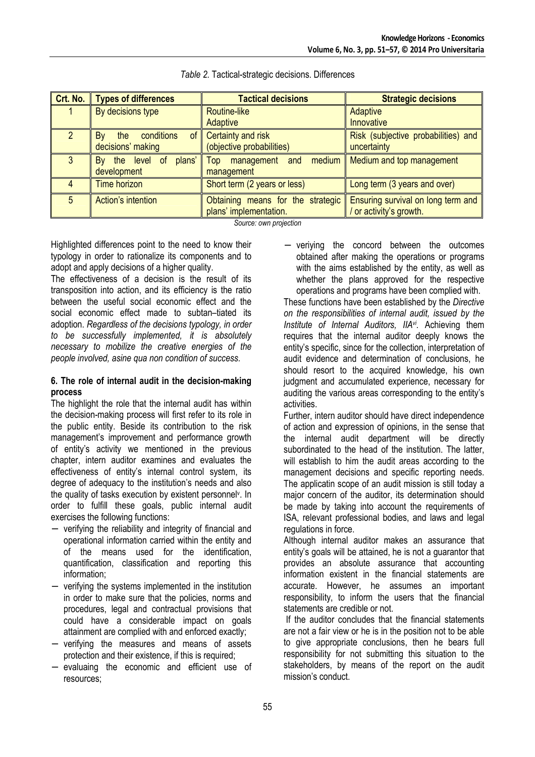| Crt. No. | <b>Types of differences</b>   | <b>Tactical decisions</b>         | <b>Strategic decisions</b>               |
|----------|-------------------------------|-----------------------------------|------------------------------------------|
|          | By decisions type             | Routine-like                      | Adaptive                                 |
|          |                               | Adaptive                          | <b>Innovative</b>                        |
|          | conditions<br>By<br>the<br>0t | Certainty and risk                | Risk (subjective probabilities) and $\ $ |
|          | decisions' making             | (objective probabilities)         | uncertainty                              |
| 3        | the level of<br>plans'<br>By  | management and medium<br>Top      | Medium and top management                |
|          | development                   | management                        |                                          |
|          | <b>Time horizon</b>           | Short term (2 years or less)      | Long term (3 years and over)             |
| 5        | Action's intention            | Obtaining means for the strategic | Ensuring survival on long term and       |
|          |                               | plans' implementation.            | or activity's growth.                    |

#### *Table 2.* Tactical-strategic decisions. Differences

*Source: own projection* 

Highlighted differences point to the need to know their typology in order to rationalize its components and to adopt and apply decisions of a higher quality.

The effectiveness of a decision is the result of its transposition into action, and its efficiency is the ratio between the useful social economic effect and the social economic effect made to subtan–tiated its adoption. *Regardless of the decisions typology, in order to be successfully implemented, it is absolutely necessary to mobilize the creative energies of the people involved, asine qua non condition of success.* 

# **6. The role of internal audit in the decision-making process**

The highlight the role that the internal audit has within the decision-making process will first refer to its role in the public entity. Beside its contribution to the risk management's improvement and performance growth of entity's activity we mentioned in the previous chapter, intern auditor examines and evaluates the effectiveness of entity's internal control system, its degree of adequacy to the institution's needs and also the quality of tasks execution by existent personnel<sup>y</sup>. In order to fulfill these goals, public internal audit exercises the following functions:

- − verifying the reliability and integrity of financial and operational information carried within the entity and of the means used for the identification, quantification, classification and reporting this information;
- − verifying the systems implemented in the institution in order to make sure that the policies, norms and procedures, legal and contractual provisions that could have a considerable impact on goals attainment are complied with and enforced exactly;
- verifying the measures and means of assets protection and their existence, if this is required;
- − evaluaing the economic and efficient use of resources;

− veriying the concord between the outcomes obtained after making the operations or programs with the aims established by the entity, as well as whether the plans approved for the respective operations and programs have been complied with.

These functions have been established by the *Directive on the responsibilities of internal audit, issued by the Institute of Internal Auditors, IIAvi .* Achieving them requires that the internal auditor deeply knows the entity's specific, since for the collection, interpretation of audit evidence and determination of conclusions, he should resort to the acquired knowledge, his own judgment and accumulated experience, necessary for auditing the various areas corresponding to the entity's activities.

Further, intern auditor should have direct independence of action and expression of opinions, in the sense that the internal audit department will be directly subordinated to the head of the institution. The latter, will establish to him the audit areas according to the management decisions and specific reporting needs. The applicatin scope of an audit mission is still today a major concern of the auditor, its determination should be made by taking into account the requirements of ISA, relevant professional bodies, and laws and legal regulations in force.

Although internal auditor makes an assurance that entity's goals will be attained, he is not a guarantor that provides an absolute assurance that accounting information existent in the financial statements are accurate. However, he assumes an important responsibility, to inform the users that the financial statements are credible or not.

 If the auditor concludes that the financial statements are not a fair view or he is in the position not to be able to give appropriate conclusions, then he bears full responsibility for not submitting this situation to the stakeholders, by means of the report on the audit mission's conduct.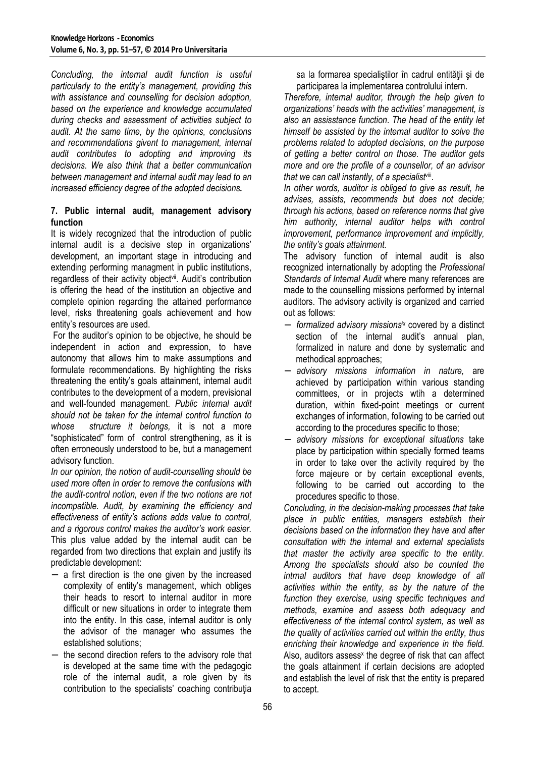*Concluding, the internal audit function is useful particularly to the entity's management, providing this with assistance and counselling for decision adoption, based on the experience and knowledge accumulated during checks and assessment of activities subject to audit. At the same time, by the opinions, conclusions and recommendations givent to management, internal audit contributes to adopting and improving its decisions. We also think that a better communication between management and internal audit may lead to an increased efficiency degree of the adopted decisions.* 

# **7. Public internal audit, management advisory function**

It is widely recognized that the introduction of public internal audit is a decisive step in organizations' development, an important stage in introducing and extending performing managment in public institutions, regardless of their activity object<sup>vii</sup>. Audit's contribution is offering the head of the institution an objective and complete opinion regarding the attained performance level, risks threatening goals achievement and how entity's resources are used.

 For the auditor's opinion to be objective, he should be independent in action and expression, to have autonomy that allows him to make assumptions and formulate recommendations. By highlighting the risks threatening the entity's goals attainment, internal audit contributes to the development of a modern, previsional and well-founded management. *Public internal audit should not be taken for the internal control function to whose structure it belongs,* it is not a more "sophisticated" form of control strengthening, as it is often erroneously understood to be, but a management advisory function.

*In our opinion, the notion of audit-counselling should be used more often in order to remove the confusions with the audit-control notion, even if the two notions are not incompatible. Audit, by examining the efficiency and effectiveness of entity's actions adds value to control, and a rigorous control makes the auditor's work easier.* This plus value added by the internal audit can be regarded from two directions that explain and justify its predictable development:

- − a first direction is the one given by the increased complexity of entity's management, which obliges their heads to resort to internal auditor in more difficult or new situations in order to integrate them into the entity. In this case, internal auditor is only the advisor of the manager who assumes the established solutions;
- the second direction refers to the advisory role that is developed at the same time with the pedagogic role of the internal audit, a role given by its contribution to the specialists' coaching contributia

sa la formarea specialiștilor în cadrul entității și de participarea la implementarea controlului intern.

*Therefore, internal auditor, through the help given to organizations' heads with the activities' management, is also an assisstance function*. *The head of the entity let himself be assisted by the internal auditor to solve the problems related to adopted decisions, on the purpose of getting a better control on those. The auditor gets more and ore the profile of a counsellor, of an advisor that we can call instantly, of a specialist*viii .

*In other words, auditor is obliged to give as result, he advises, assists, recommends but does not decide; through his actions, based on reference norms that give him authority, internal auditor helps with control improvement, performance improvement and implicitly, the entity's goals attainment.*

The advisory function of internal audit is also recognized internationally by adopting the *Professional Standards of Internal Audit* where many references are made to the counselling missions performed by internal auditors. The advisory activity is organized and carried out as follows:

- − *formalized advisory missionsix* covered by a distinct section of the internal audit's annual plan, formalized in nature and done by systematic and methodical approaches;
- − *advisory missions information in nature,* are achieved by participation within various standing committees, or in projects wtih a determined duration, within fixed-point meetings or current exchanges of information, following to be carried out according to the procedures specific to those;
- − *advisory missions for exceptional situations* take place by participation within specially formed teams in order to take over the activity required by the force majeure or by certain exceptional events, following to be carried out according to the procedures specific to those.

*Concluding, in the decision-making processes that take place in public entities, managers establish their decisions based on the information they have and after consultation with the internal and external specialists that master the activity area specific to the entity. Among the specialists should also be counted the intrnal auditors that have deep knowledge of all activities within the entity, as by the nature of the function they exercise, using specific techniques and methods, examine and assess both adequacy and effectiveness of the internal control system, as well as the quality of activities carried out within the entity, thus enriching their knowledge and experience in the field.*  Also, auditors assess<sup>x</sup> the degree of risk that can affect the goals attainment if certain decisions are adopted and establish the level of risk that the entity is prepared to accept.